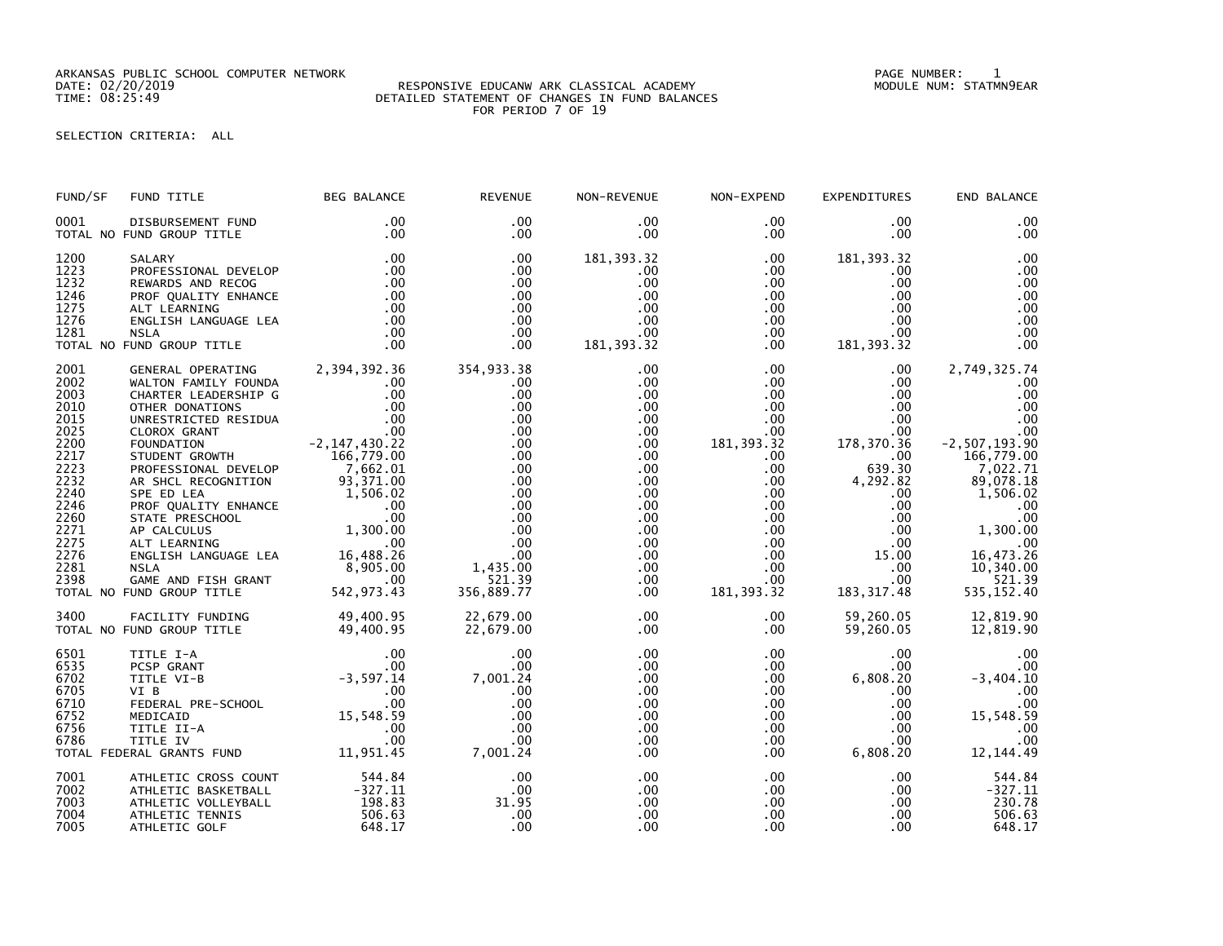ARKANSAS PUBLIC SCHOOL COMPUTER NETWORK PAGE NUMBER: 1

## DATE: 02/20/2019 RESPONSIVE EDUCANW ARK CLASSICAL ACADEMY MODULE NUM: STATMN9EAR TIME: 08:25:49 DETAILED STATEMENT OF CHANGES IN FUND BALANCES FOR PERIOD 7 OF 19

SELECTION CRITERIA: ALL

| FUND/SF                                                                                                                                      | FUND TITLE                                                                                                                                                                                                                                                                                                                                                                                                                                                                                                                                                                                     | <b>BEG BALANCE</b>                                                                         | <b>REVENUE</b>                                                                                                                                          | NON-REVENUE                                                                                                                                  | NON-EXPEND                                                                                                                                                                                       | <b>EXPENDITURES</b>                                                                                                                                                                                                                                  | END BALANCE                                                                                                                                                                                                 |
|----------------------------------------------------------------------------------------------------------------------------------------------|------------------------------------------------------------------------------------------------------------------------------------------------------------------------------------------------------------------------------------------------------------------------------------------------------------------------------------------------------------------------------------------------------------------------------------------------------------------------------------------------------------------------------------------------------------------------------------------------|--------------------------------------------------------------------------------------------|---------------------------------------------------------------------------------------------------------------------------------------------------------|----------------------------------------------------------------------------------------------------------------------------------------------|--------------------------------------------------------------------------------------------------------------------------------------------------------------------------------------------------|------------------------------------------------------------------------------------------------------------------------------------------------------------------------------------------------------------------------------------------------------|-------------------------------------------------------------------------------------------------------------------------------------------------------------------------------------------------------------|
| 0001                                                                                                                                         | DISBURSEMENT FUND<br>TOTAL NO FUND GROUP TITLE                                                                                                                                                                                                                                                                                                                                                                                                                                                                                                                                                 | $.00 \,$<br>.00                                                                            | $.00 \times$<br>.00                                                                                                                                     | $.00 \,$<br>.00                                                                                                                              | $.00 \,$<br>$.00 \,$                                                                                                                                                                             | $.00 \,$<br>$.00 \,$                                                                                                                                                                                                                                 | .00<br>.00                                                                                                                                                                                                  |
| 1200<br>1223<br>1232<br>1246<br>1275<br>1276<br>1281                                                                                         | SALARY<br>PROFESSIONAL DEVELOP<br>REWARDS AND RECOG<br>PROF QUALITY ENHANCE<br>ALT LEARNING<br>ENGLISH LANGUAGE LEA<br><b>NSLA</b><br>TOTAL NO FUND GROUP TITLE                                                                                                                                                                                                                                                                                                                                                                                                                                | .00<br>.00<br>$\begin{array}{c} .00 \\ .00 \\ .00 \\ .00 \\ .00 \end{array}$<br>.00<br>.00 | .00<br>.00.<br>.00<br>.00<br>.00<br>.00<br>.00<br>.00                                                                                                   | 181, 393.32<br>$.00 \,$<br>.00<br>.00<br>.00<br>.00<br>.00<br>181, 393.32                                                                    | $.00 \,$<br>$.00 \,$<br>.00<br>$.00 \,$<br>$.00 \,$<br>$.00 \,$<br>$.00 \,$<br>$.00 \,$                                                                                                          | 181, 393.32<br>.00.<br>$.00 \,$<br>.00<br>.00<br>.00<br>.00<br>181, 393.32                                                                                                                                                                           | .00<br>.00<br>.00<br>.00<br>.00<br>.00<br>.00<br>.00                                                                                                                                                        |
| 2001<br>2002<br>2003<br>2010<br>2015<br>2025<br>2200<br>2217<br>2223<br>2232<br>2240<br>2246<br>2260<br>2271<br>2275<br>2276<br>2281<br>2398 | GENERAL OPERATING 2,394,392.36<br>WALTON FAMILY FOUNDA .00<br>CHARTER LEADERSHIP G .00<br>OTHER DONATIONS .00<br>UNRESTRICTED RESIDUA .00<br>CLOROX GRANT .00<br>CLOROX GRANT .00<br>FOUNDATION<br>FUUNDATIUM<br>STUDENT GROWTH 7.667.79.00<br>PROFESSIONAL DEVELOP 7.662.01<br>AR SHCL RECOGNITION<br>AR SHCL RECOGNITION<br>SPE ED LEA<br>SPE ED LEA<br>ROF QUALITY ENHANCE<br>STATE PRESCHOOL<br>AP CALCULUS<br>ALT LEARNING<br>ALT LEARNING<br>ALT LEARNING<br>ENGLISH LANGUAGE LEA<br>TO 16,488.26<br>NSLA<br>GAME AND FISH GRANT<br>COME AND FISH GRANT<br><br>TOTAL NO FUND GROUP TITLE | $-2, 147, 430.22$<br>93,371.00                                                             | 354,933.38<br>.00<br>.00<br>.00<br>.00<br>.00<br>.00<br>.00<br>.00<br>.00<br>.00<br>.00<br>.00<br>.00<br>.00<br>.00<br>1,435.00<br>521.39<br>356,889.77 | .00<br>.00<br>.00<br>.00<br>.00<br>.00<br>.00<br>.00<br>.00<br>$.00 \,$<br>.00.<br>.00<br>.00<br>.00<br>.00<br>.00<br>$.00 \,$<br>.00<br>.00 | $.00 \,$<br>$.00 \,$<br>$.00 \,$<br>$.00 \,$<br>$.00 \,$<br>$.00 \,$<br>181, 393.32<br>$.00 \,$<br>$.00 \,$<br>$.00\,$<br>$.00\,$<br>.00<br>$.00\,$<br>$.00\,$<br>$.00 \,$<br>.00<br>181, 393.32 | $.00 \cdot$<br>$.00 \,$<br>$.00 \,$<br>$.00 \,$<br>$.00 \,$<br>$.00 \,$<br>178,370.36<br>$.00 \,$<br>639.30<br>4,292.82<br>.00<br>$\begin{array}{c} .00\ 00 \end{array}$<br>$.00 \,$<br>.00<br>.00<br>.00<br>15.00<br>.00<br>$.00 \,$<br>183, 317.48 | 2,749,325.74<br>.00<br>.00<br>.00<br>.00<br>.00<br>$-2, 507, 193.90$<br>166,779.00<br>7,022.71<br>89,078.18<br>1,506.02<br>.00<br>.00<br>1,300.00<br>.00<br>16,473.26<br>10,340.00<br>521.39<br>535, 152.40 |
|                                                                                                                                              | 3400 FACILITY FUNDING 49,400.95<br>TOTAL NO FUND GROUP TITLE 49,400.95                                                                                                                                                                                                                                                                                                                                                                                                                                                                                                                         |                                                                                            | 22,679.00<br>22,679.00                                                                                                                                  | $.00 \,$<br>.00                                                                                                                              | $.00 \,$<br>$.00 \,$                                                                                                                                                                             | 59,260.05<br>59,260.05                                                                                                                                                                                                                               | 12,819.90<br>12,819.90                                                                                                                                                                                      |
| 6501<br>6535<br>6702<br>6705<br>6710<br>6752<br>6756<br>6786                                                                                 | .00<br>PCSP GRANT .00<br>TITLE VI-B<br>TITLE VI-B<br>PEDERAL PRE-SCHOOL .00<br>FEDERAL PRE-SCHOOL .00<br>MEDICAID .00<br>MEDICAID 15,548.59<br>TITLE II-A .00<br>TITLE IV .00<br>PERAL GRANTS FUND .00<br>PERAL GRANTS FUND .00<br>TOTAL FEDERAL GRANTS FUND                                                                                                                                                                                                                                                                                                                                   |                                                                                            | .00<br>.00<br>7,001.24<br>00.<br>.00<br>.00<br>.00<br>.00<br>.00<br>7,001.24                                                                            | $.00 \,$<br>.00<br>.00<br>.00<br>.00<br>.00<br>.00<br>.00<br>.00                                                                             | $.00\,$<br>.00<br>$.00 \,$<br>$.00 \,$<br>$.00 \,$<br>$.00 \,$<br>$.00 \,$<br>$.00 \,$<br>$.00 \,$                                                                                               | $.00 \,$<br>.00<br>6,808.20<br>.00.<br>.00<br>.00<br>.00<br>00.<br>6,808.20                                                                                                                                                                          | .00<br>.00<br>$-3,404.10$<br>.00<br>.00<br>15,548.59<br>.00<br>.00<br>12, 144.49                                                                                                                            |
| 7001<br>7002<br>7003<br>7004<br>7005                                                                                                         | ATHLETIC CROSS COUNT<br>ATHLETIC BASKETBALL<br>ATHLETIC VOLLEYBALL<br>ATHLETIC TENNIS<br>ATHLETIC GOLF                                                                                                                                                                                                                                                                                                                                                                                                                                                                                         | 544.84<br>-327.11<br>198.83<br>506.63<br>648.17                                            | .00<br>.00<br>31.95<br>.00<br>.00                                                                                                                       | .00<br>.00<br>.00<br>.00<br>.00                                                                                                              | $.00 \,$<br>$.00\,$<br>.00<br>$.00 \,$<br>$.00 \,$                                                                                                                                               | $.00 \,$<br>$.00 \,$<br>$.00 \,$<br>.00<br>$.00 \,$                                                                                                                                                                                                  | 544.84<br>$-327.11$<br>230.78<br>506.63<br>648.17                                                                                                                                                           |